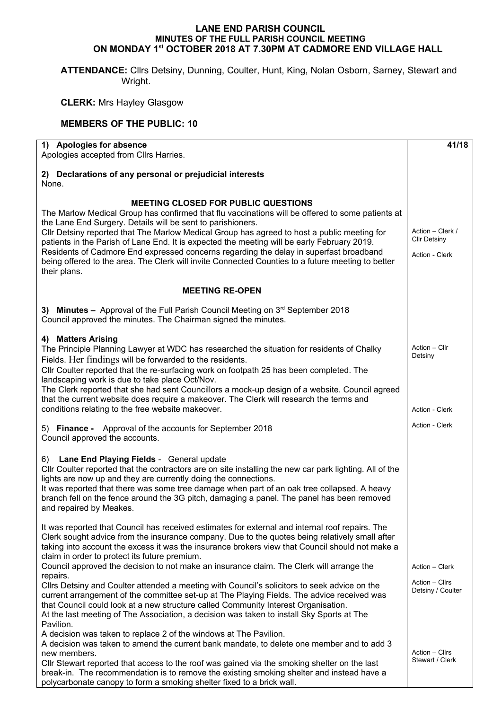## **LANE END PARISH COUNCIL MINUTES OF THE FULL PARISH COUNCIL MEETING ON MONDAY 1st OCTOBER 2018 AT 7.30PM AT CADMORE END VILLAGE HALL**

**ATTENDANCE:** Cllrs Detsiny, Dunning, Coulter, Hunt, King, Nolan Osborn, Sarney, Stewart and Wright.

**CLERK:** Mrs Hayley Glasgow

## **MEMBERS OF THE PUBLIC: 10**

| 1) Apologies for absence<br>Apologies accepted from Cllrs Harries.                                                                                                                                                                                                                                                                                                                                                                                                                                                                                                                                                                                                                                                                                                                                                                                          | 41/18                                                 |  |  |  |
|-------------------------------------------------------------------------------------------------------------------------------------------------------------------------------------------------------------------------------------------------------------------------------------------------------------------------------------------------------------------------------------------------------------------------------------------------------------------------------------------------------------------------------------------------------------------------------------------------------------------------------------------------------------------------------------------------------------------------------------------------------------------------------------------------------------------------------------------------------------|-------------------------------------------------------|--|--|--|
| 2) Declarations of any personal or prejudicial interests<br>None.                                                                                                                                                                                                                                                                                                                                                                                                                                                                                                                                                                                                                                                                                                                                                                                           |                                                       |  |  |  |
| <b>MEETING CLOSED FOR PUBLIC QUESTIONS</b><br>The Marlow Medical Group has confirmed that flu vaccinations will be offered to some patients at<br>the Lane End Surgery. Details will be sent to parishioners.<br>Cllr Detsiny reported that The Marlow Medical Group has agreed to host a public meeting for<br>patients in the Parish of Lane End. It is expected the meeting will be early February 2019.<br>Residents of Cadmore End expressed concerns regarding the delay in superfast broadband<br>being offered to the area. The Clerk will invite Connected Counties to a future meeting to better<br>their plans.                                                                                                                                                                                                                                  |                                                       |  |  |  |
| <b>MEETING RE-OPEN</b>                                                                                                                                                                                                                                                                                                                                                                                                                                                                                                                                                                                                                                                                                                                                                                                                                                      |                                                       |  |  |  |
| 3) Minutes - Approval of the Full Parish Council Meeting on $3^{rd}$ September 2018<br>Council approved the minutes. The Chairman signed the minutes.                                                                                                                                                                                                                                                                                                                                                                                                                                                                                                                                                                                                                                                                                                       |                                                       |  |  |  |
| 4) Matters Arising<br>The Principle Planning Lawyer at WDC has researched the situation for residents of Chalky<br>Fields. Her findings will be forwarded to the residents.<br>Cllr Coulter reported that the re-surfacing work on footpath 25 has been completed. The<br>landscaping work is due to take place Oct/Nov.<br>The Clerk reported that she had sent Councillors a mock-up design of a website. Council agreed<br>that the current website does require a makeover. The Clerk will research the terms and<br>conditions relating to the free website makeover.                                                                                                                                                                                                                                                                                  | Action - Cllr<br>Detsiny<br>Action - Clerk            |  |  |  |
| 5) Finance - Approval of the accounts for September 2018<br>Council approved the accounts.                                                                                                                                                                                                                                                                                                                                                                                                                                                                                                                                                                                                                                                                                                                                                                  | Action - Clerk                                        |  |  |  |
| 6) Lane End Playing Fields - General update<br>CIIr Coulter reported that the contractors are on site installing the new car park lighting. All of the<br>lights are now up and they are currently doing the connections.<br>It was reported that there was some tree damage when part of an oak tree collapsed. A heavy<br>branch fell on the fence around the 3G pitch, damaging a panel. The panel has been removed<br>and repaired by Meakes.                                                                                                                                                                                                                                                                                                                                                                                                           |                                                       |  |  |  |
| It was reported that Council has received estimates for external and internal roof repairs. The<br>Clerk sought advice from the insurance company. Due to the quotes being relatively small after<br>taking into account the excess it was the insurance brokers view that Council should not make a<br>claim in order to protect its future premium.<br>Council approved the decision to not make an insurance claim. The Clerk will arrange the<br>repairs.<br>Cllrs Detsiny and Coulter attended a meeting with Council's solicitors to seek advice on the<br>current arrangement of the committee set-up at The Playing Fields. The advice received was<br>that Council could look at a new structure called Community Interest Organisation.<br>At the last meeting of The Association, a decision was taken to install Sky Sports at The<br>Pavilion. | Action - Clerk<br>Action - Cllrs<br>Detsiny / Coulter |  |  |  |
| A decision was taken to replace 2 of the windows at The Pavilion.<br>A decision was taken to amend the current bank mandate, to delete one member and to add 3<br>new members.<br>CIIr Stewart reported that access to the roof was gained via the smoking shelter on the last<br>break-in. The recommendation is to remove the existing smoking shelter and instead have a<br>polycarbonate canopy to form a smoking shelter fixed to a brick wall.                                                                                                                                                                                                                                                                                                                                                                                                        | Action - Cllrs<br>Stewart / Clerk                     |  |  |  |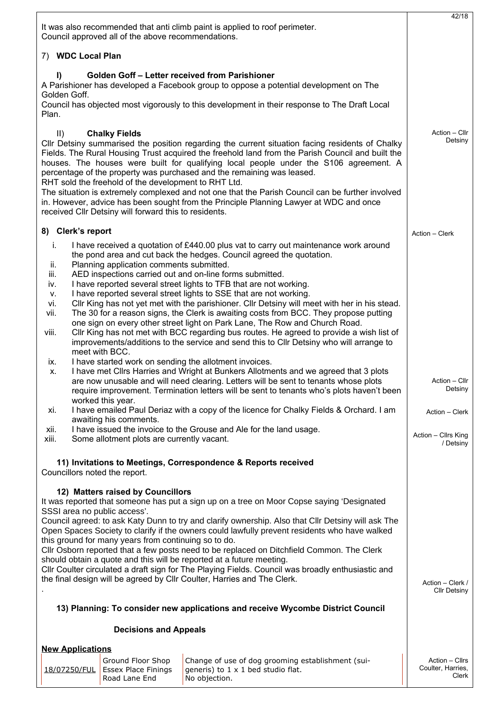| It was also recommended that anti climb paint is applied to roof perimeter.<br>Council approved all of the above recommendations.                                                                                                                                                                                                                                                                                                                                                                                                                                                                                                                                                                                                                                                                                                                                                                                                                                                                                                                                                                                                                                                                                                                                                                                                                                                                                                                                 | 42/18                                      |  |  |  |
|-------------------------------------------------------------------------------------------------------------------------------------------------------------------------------------------------------------------------------------------------------------------------------------------------------------------------------------------------------------------------------------------------------------------------------------------------------------------------------------------------------------------------------------------------------------------------------------------------------------------------------------------------------------------------------------------------------------------------------------------------------------------------------------------------------------------------------------------------------------------------------------------------------------------------------------------------------------------------------------------------------------------------------------------------------------------------------------------------------------------------------------------------------------------------------------------------------------------------------------------------------------------------------------------------------------------------------------------------------------------------------------------------------------------------------------------------------------------|--------------------------------------------|--|--|--|
| 7) WDC Local Plan                                                                                                                                                                                                                                                                                                                                                                                                                                                                                                                                                                                                                                                                                                                                                                                                                                                                                                                                                                                                                                                                                                                                                                                                                                                                                                                                                                                                                                                 |                                            |  |  |  |
| Golden Goff - Letter received from Parishioner<br>I)<br>A Parishioner has developed a Facebook group to oppose a potential development on The<br>Golden Goff.<br>Council has objected most vigorously to this development in their response to The Draft Local<br>Plan.                                                                                                                                                                                                                                                                                                                                                                                                                                                                                                                                                                                                                                                                                                                                                                                                                                                                                                                                                                                                                                                                                                                                                                                           |                                            |  |  |  |
| $\parallel$<br><b>Chalky Fields</b><br>CIIr Detsiny summarised the position regarding the current situation facing residents of Chalky<br>Fields. The Rural Housing Trust acquired the freehold land from the Parish Council and built the<br>houses. The houses were built for qualifying local people under the S106 agreement. A<br>percentage of the property was purchased and the remaining was leased.<br>RHT sold the freehold of the development to RHT Ltd.<br>The situation is extremely complexed and not one that the Parish Council can be further involved<br>in. However, advice has been sought from the Principle Planning Lawyer at WDC and once<br>received CIIr Detsiny will forward this to residents.                                                                                                                                                                                                                                                                                                                                                                                                                                                                                                                                                                                                                                                                                                                                      | Action - Cllr<br>Detsiny                   |  |  |  |
| 8) Clerk's report                                                                                                                                                                                                                                                                                                                                                                                                                                                                                                                                                                                                                                                                                                                                                                                                                                                                                                                                                                                                                                                                                                                                                                                                                                                                                                                                                                                                                                                 | Action - Clerk                             |  |  |  |
| I have received a quotation of £440.00 plus vat to carry out maintenance work around<br>i.<br>the pond area and cut back the hedges. Council agreed the quotation.<br>Planning application comments submitted.<br>ii.<br>AED inspections carried out and on-line forms submitted.<br>iii.<br>I have reported several street lights to TFB that are not working.<br>iv.<br>I have reported several street lights to SSE that are not working.<br>v.<br>CIIr King has not yet met with the parishioner. CIIr Detsiny will meet with her in his stead.<br>vi.<br>The 30 for a reason signs, the Clerk is awaiting costs from BCC. They propose putting<br>vii.<br>one sign on every other street light on Park Lane, The Row and Church Road.<br>CIIr King has not met with BCC regarding bus routes. He agreed to provide a wish list of<br>viii.<br>improvements/additions to the service and send this to Cllr Detsiny who will arrange to<br>meet with BCC.<br>I have started work on sending the allotment invoices.<br>ix.<br>I have met Cllrs Harries and Wright at Bunkers Allotments and we agreed that 3 plots<br>х.<br>are now unusable and will need clearing. Letters will be sent to tenants whose plots<br>require improvement. Termination letters will be sent to tenants who's plots haven't been<br>worked this year.<br>I have emailed Paul Deriaz with a copy of the licence for Chalky Fields & Orchard. I am<br>xi.<br>awaiting his comments. | Action - Cllr<br>Detsiny<br>Action - Clerk |  |  |  |
| I have issued the invoice to the Grouse and Ale for the land usage.<br>xii.<br>xiii.<br>Some allotment plots are currently vacant.                                                                                                                                                                                                                                                                                                                                                                                                                                                                                                                                                                                                                                                                                                                                                                                                                                                                                                                                                                                                                                                                                                                                                                                                                                                                                                                                | Action - Cllrs King<br>/ Detsiny           |  |  |  |
| 11) Invitations to Meetings, Correspondence & Reports received<br>Councillors noted the report.                                                                                                                                                                                                                                                                                                                                                                                                                                                                                                                                                                                                                                                                                                                                                                                                                                                                                                                                                                                                                                                                                                                                                                                                                                                                                                                                                                   |                                            |  |  |  |
| 12) Matters raised by Councillors<br>It was reported that someone has put a sign up on a tree on Moor Copse saying 'Designated<br>SSSI area no public access'.<br>Council agreed: to ask Katy Dunn to try and clarify ownership. Also that Cllr Detsiny will ask The<br>Open Spaces Society to clarify if the owners could lawfully prevent residents who have walked<br>this ground for many years from continuing so to do.<br>Cllr Osborn reported that a few posts need to be replaced on Ditchfield Common. The Clerk<br>should obtain a quote and this will be reported at a future meeting.<br>Cllr Coulter circulated a draft sign for The Playing Fields. Council was broadly enthusiastic and<br>the final design will be agreed by Cllr Coulter, Harries and The Clerk.<br>13) Planning: To consider new applications and receive Wycombe District Council<br><b>Decisions and Appeals</b>                                                                                                                                                                                                                                                                                                                                                                                                                                                                                                                                                             |                                            |  |  |  |
| <b>New Applications</b><br>Ground Floor Shop<br>Change of use of dog grooming establishment (sui-<br><b>Essex Place Finings</b><br>generis) to 1 x 1 bed studio flat.<br>18/07250/FUL                                                                                                                                                                                                                                                                                                                                                                                                                                                                                                                                                                                                                                                                                                                                                                                                                                                                                                                                                                                                                                                                                                                                                                                                                                                                             | Action - Cllrs<br>Coulter, Harries,        |  |  |  |
| Road Lane End<br>No objection.                                                                                                                                                                                                                                                                                                                                                                                                                                                                                                                                                                                                                                                                                                                                                                                                                                                                                                                                                                                                                                                                                                                                                                                                                                                                                                                                                                                                                                    | Clerk                                      |  |  |  |